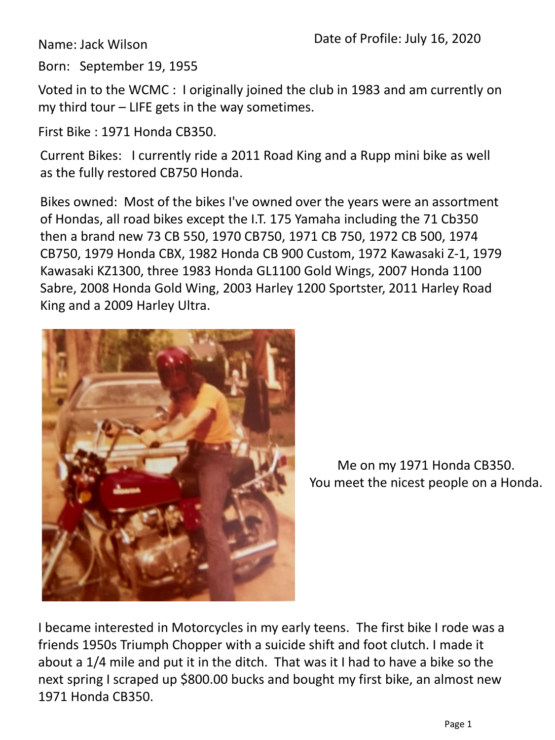Name: Jack Wilson

Born: September 19, 1955

Voted in to the WCMC : I originally joined the club in 1983 and am currently on my third tour – LIFE gets in the way sometimes.

First Bike : 1971 Honda CB350.

Current Bikes: I currently ride a 2011 Road King and a Rupp mini bike as well as the fully restored CB750 Honda.

Bikes owned: Most of the bikes I've owned over the years were an assortment of Hondas, all road bikes except the I.T. 175 Yamaha including the 71 Cb350 then a brand new 73 CB 550, 1970 CB750, 1971 CB 750, 1972 CB 500, 1974 CB750, 1979 Honda CBX, 1982 Honda CB 900 Custom, 1972 Kawasaki Z-1, 1979 Kawasaki KZ1300, three 1983 Honda GL1100 Gold Wings, 2007 Honda 1100 Sabre, 2008 Honda Gold Wing, 2003 Harley 1200 Sportster, 2011 Harley Road King and a 2009 Harley Ultra.



Me on my 1971 Honda CB350. You meet the nicest people on a Honda.

I became interested in Motorcycles in my early teens. The first bike I rode was a friends 1950s Triumph Chopper with a suicide shift and foot clutch. I made it about a 1/4 mile and put it in the ditch. That was it I had to have a bike so the next spring I scraped up \$800.00 bucks and bought my first bike, an almost new 1971 Honda CB350.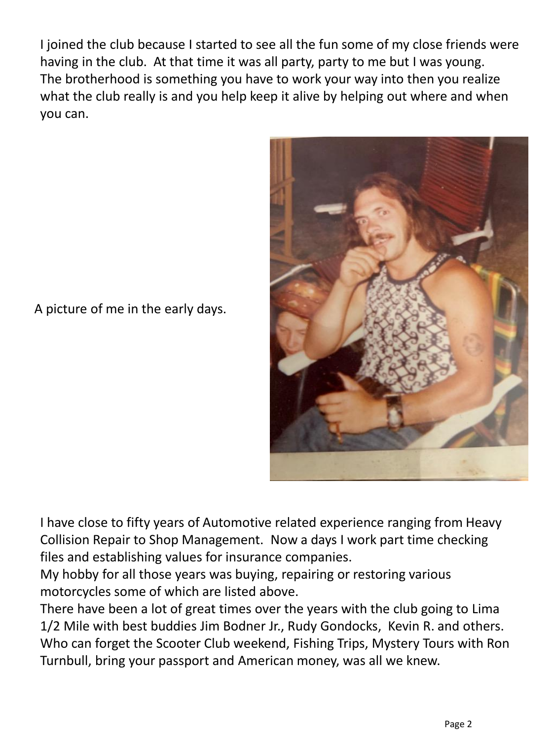I joined the club because I started to see all the fun some of my close friends were having in the club. At that time it was all party, party to me but I was young. The brotherhood is something you have to work your way into then you realize what the club really is and you help keep it alive by helping out where and when you can.



A picture of me in the early days.

I have close to fifty years of Automotive related experience ranging from Heavy Collision Repair to Shop Management. Now a days I work part time checking files and establishing values for insurance companies.

My hobby for all those years was buying, repairing or restoring various motorcycles some of which are listed above.

There have been a lot of great times over the years with the club going to Lima 1/2 Mile with best buddies Jim Bodner Jr., Rudy Gondocks, Kevin R. and others. Who can forget the Scooter Club weekend, Fishing Trips, Mystery Tours with Ron Turnbull, bring your passport and American money, was all we knew.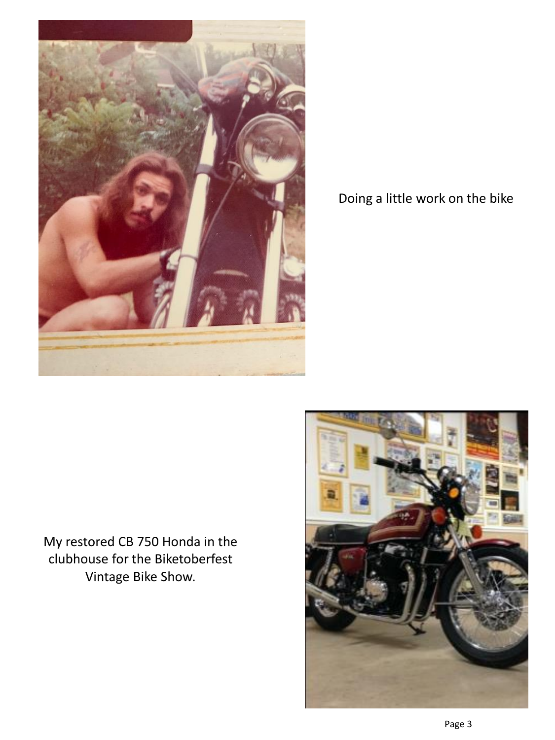

Doing a little work on the bike

My restored CB 750 Honda in the clubhouse for the Biketoberfest Vintage Bike Show.